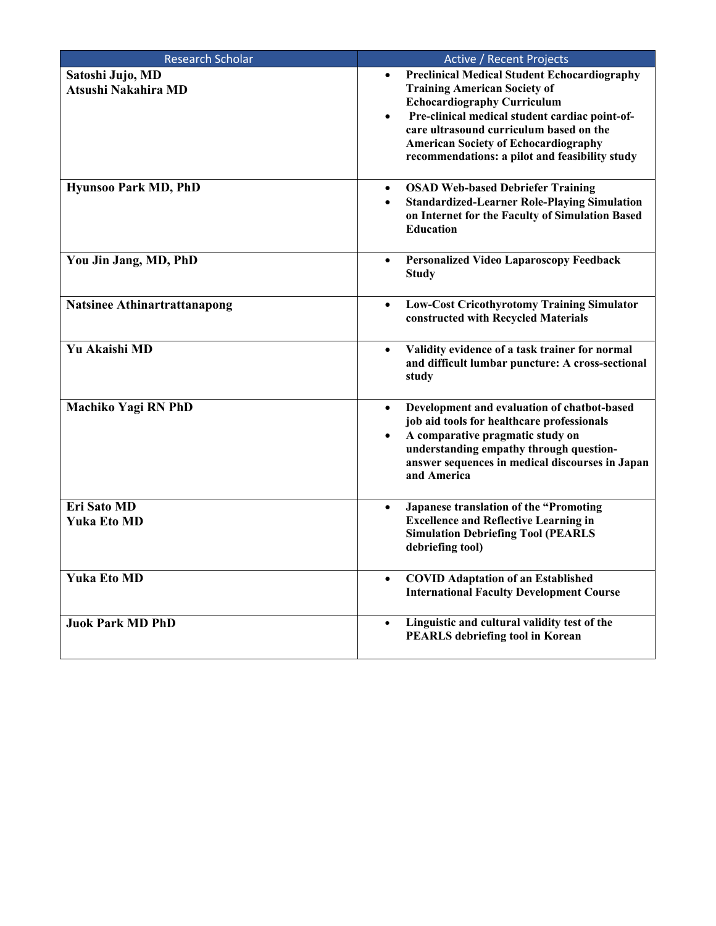| <b>Research Scholar</b>                 | Active / Recent Projects                                                                                                                                                                                                                                                                                                                                 |
|-----------------------------------------|----------------------------------------------------------------------------------------------------------------------------------------------------------------------------------------------------------------------------------------------------------------------------------------------------------------------------------------------------------|
| Satoshi Jujo, MD<br>Atsushi Nakahira MD | <b>Preclinical Medical Student Echocardiography</b><br>$\bullet$<br><b>Training American Society of</b><br><b>Echocardiography Curriculum</b><br>Pre-clinical medical student cardiac point-of-<br>$\bullet$<br>care ultrasound curriculum based on the<br><b>American Society of Echocardiography</b><br>recommendations: a pilot and feasibility study |
| <b>Hyunsoo Park MD, PhD</b>             | <b>OSAD Web-based Debriefer Training</b><br>$\bullet$<br><b>Standardized-Learner Role-Playing Simulation</b><br>$\bullet$<br>on Internet for the Faculty of Simulation Based<br><b>Education</b>                                                                                                                                                         |
| You Jin Jang, MD, PhD                   | <b>Personalized Video Laparoscopy Feedback</b><br>$\bullet$<br><b>Study</b>                                                                                                                                                                                                                                                                              |
| <b>Natsinee Athinartrattanapong</b>     | <b>Low-Cost Cricothyrotomy Training Simulator</b><br>$\bullet$<br>constructed with Recycled Materials                                                                                                                                                                                                                                                    |
| <b>Yu Akaishi MD</b>                    | Validity evidence of a task trainer for normal<br>$\bullet$<br>and difficult lumbar puncture: A cross-sectional<br>study                                                                                                                                                                                                                                 |
| Machiko Yagi RN PhD                     | Development and evaluation of chatbot-based<br>$\bullet$<br>job aid tools for healthcare professionals<br>A comparative pragmatic study on<br>$\bullet$<br>understanding empathy through question-<br>answer sequences in medical discourses in Japan<br>and America                                                                                     |
| Eri Sato MD<br><b>Yuka Eto MD</b>       | Japanese translation of the "Promoting<br>$\bullet$<br><b>Excellence and Reflective Learning in</b><br><b>Simulation Debriefing Tool (PEARLS</b><br>debriefing tool)                                                                                                                                                                                     |
| <b>Yuka Eto MD</b>                      | <b>COVID Adaptation of an Established</b><br>$\bullet$<br><b>International Faculty Development Course</b>                                                                                                                                                                                                                                                |
| <b>Juok Park MD PhD</b>                 | Linguistic and cultural validity test of the<br>$\bullet$<br><b>PEARLS</b> debriefing tool in Korean                                                                                                                                                                                                                                                     |